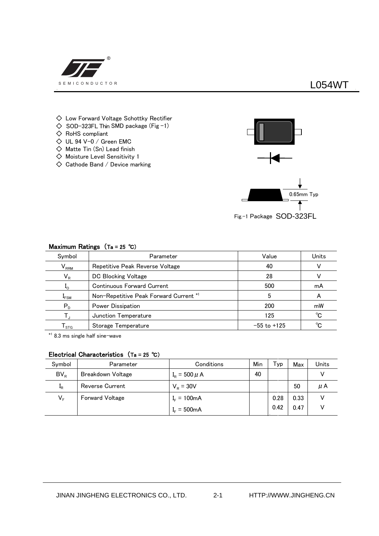

# **L054WT**

- $\diamondsuit$  Low Forward Voltage Schottky Rectifier
- $\diamondsuit$  SOD-323FL Thin SMD package (Fig -1)
- ◇ RoHS compliant
- $\Diamond$  UL 94 V-0 / Green EMC
- $\diamondsuit$  Matte Tin (Sn) Lead finish
- ◇ Moisture Level Sensitivity 1
- $\diamondsuit$  Cathode Band / Device marking



Fig.-1 Package SOD-323FL

| Symbol                | Parameter                              | Value           | Units |
|-----------------------|----------------------------------------|-----------------|-------|
| $V_{RRM}$             | Repetitive Peak Reverse Voltage        | 40              |       |
| $V_R$                 | DC Blocking Voltage                    | 28              |       |
| $\mathbf{I}_{\Omega}$ | <b>Continuous Forward Current</b>      | 500             | mA    |
| $I_{FSM}$             | Non-Repetitive Peak Forward Current *1 |                 | А     |
| $P_{D}$               | Power Dissipation                      | 200             | mW    |
|                       | Junction Temperature                   | 125             | °C    |
| <b>STG</b>            | Storage Temperature                    | $-55$ to $+125$ | °C    |

### **Maximum Ratings (Ta = 25 ℃)**

\*1 8.3 ms single half sine-wave

## **Electrical Characteristics (Ta = 25 ℃)**

| Symbol           | Parameter                | Conditions              | Min | Typ  | Max  | Units |
|------------------|--------------------------|-------------------------|-----|------|------|-------|
| $BV_R$           | <b>Breakdown Voltage</b> | $I_R = 500 \mu A$       | 40  |      |      |       |
| $\mathbf{I}_{R}$ | Reverse Current          | $V_{\rm B} = 30V$       |     |      | 50   | μA    |
| VF               | <b>Forward Voltage</b>   | $I_{F} = 100 \text{mA}$ |     | 0.28 | 0.33 |       |
|                  |                          | $I_{F} = 500 \text{mA}$ |     | 0.42 | 0.47 |       |